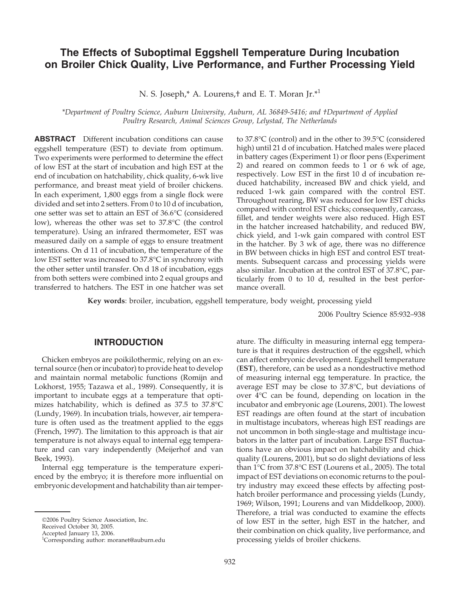# **The Effects of Suboptimal Eggshell Temperature During Incubation on Broiler Chick Quality, Live Performance, and Further Processing Yield**

N. S. Joseph,\* A. Lourens,† and E. T. Moran Jr.<sup>\*1</sup>

*\*Department of Poultry Science, Auburn University, Auburn, AL 36849-5416; and †Department of Applied Poultry Research, Animal Sciences Group, Lelystad, The Netherlands*

**ABSTRACT** Different incubation conditions can cause eggshell temperature (EST) to deviate from optimum. Two experiments were performed to determine the effect of low EST at the start of incubation and high EST at the end of incubation on hatchability, chick quality, 6-wk live performance, and breast meat yield of broiler chickens. In each experiment, 1,800 eggs from a single flock were divided and set into 2 setters. From 0 to 10 d of incubation, one setter was set to attain an EST of 36.6°C (considered low), whereas the other was set to 37.8°C (the control temperature). Using an infrared thermometer, EST was measured daily on a sample of eggs to ensure treatment intentions. On d 11 of incubation, the temperature of the low EST setter was increased to 37.8°C in synchrony with the other setter until transfer. On d 18 of incubation, eggs from both setters were combined into 2 equal groups and transferred to hatchers. The EST in one hatcher was set to 37.8°C (control) and in the other to 39.5°C (considered high) until 21 d of incubation. Hatched males were placed in battery cages (Experiment 1) or floor pens (Experiment 2) and reared on common feeds to 1 or 6 wk of age, respectively. Low EST in the first 10 d of incubation reduced hatchability, increased BW and chick yield, and reduced 1-wk gain compared with the control EST. Throughout rearing, BW was reduced for low EST chicks compared with control EST chicks; consequently, carcass, fillet, and tender weights were also reduced. High EST in the hatcher increased hatchability, and reduced BW, chick yield, and 1-wk gain compared with control EST in the hatcher. By 3 wk of age, there was no difference in BW between chicks in high EST and control EST treatments. Subsequent carcass and processing yields were also similar. Incubation at the control EST of 37.8°C, particularly from 0 to 10 d, resulted in the best performance overall.

**Key words**: broiler, incubation, eggshell temperature, body weight, processing yield

2006 Poultry Science 85:932–938

#### **INTRODUCTION**

Chicken embryos are poikilothermic, relying on an external source (hen or incubator) to provide heat to develop and maintain normal metabolic functions (Romijn and Lokhorst, 1955; Tazawa et al., 1989). Consequently, it is important to incubate eggs at a temperature that optimizes hatchability, which is defined as 37.5 to 37.8°C (Lundy, 1969). In incubation trials, however, air temperature is often used as the treatment applied to the eggs (French, 1997). The limitation to this approach is that air temperature is not always equal to internal egg temperature and can vary independently (Meijerhof and van Beek, 1993).

Internal egg temperature is the temperature experienced by the embryo; it is therefore more influential on embryonic development and hatchability than air temperature. The difficulty in measuring internal egg temperature is that it requires destruction of the eggshell, which can affect embryonic development. Eggshell temperature (**EST**), therefore, can be used as a nondestructive method of measuring internal egg temperature. In practice, the average EST may be close to 37.8°C, but deviations of over 4°C can be found, depending on location in the incubator and embryonic age (Lourens, 2001). The lowest EST readings are often found at the start of incubation in multistage incubators, whereas high EST readings are not uncommon in both single-stage and multistage incubators in the latter part of incubation. Large EST fluctuations have an obvious impact on hatchability and chick quality (Lourens, 2001), but so do slight deviations of less than 1°C from 37.8°C EST (Lourens et al., 2005). The total impact of EST deviations on economic returns to the poultry industry may exceed these effects by affecting posthatch broiler performance and processing yields (Lundy, 1969; Wilson, 1991; Lourens and van Middelkoop, 2000). Therefore, a trial was conducted to examine the effects of low EST in the setter, high EST in the hatcher, and their combination on chick quality, live performance, and processing yields of broiler chickens.

<sup>2006</sup> Poultry Science Association, Inc.

Received October 30, 2005.

Accepted January 13, 2006.

<sup>1</sup> Corresponding author: moranet@auburn.edu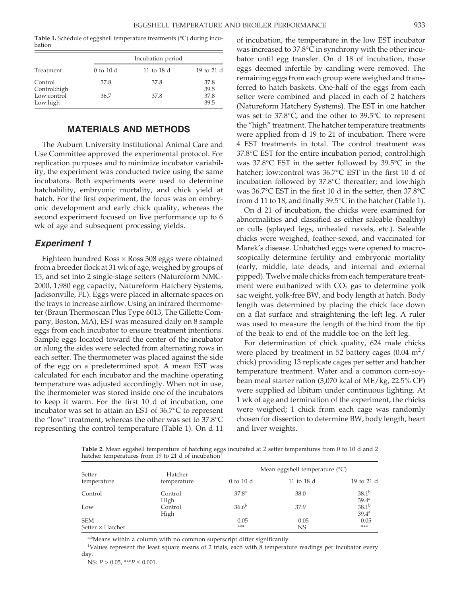**Table 1.** Schedule of eggshell temperature treatments (°C) during incubation

|                                                    |               | Incubation period |                              |
|----------------------------------------------------|---------------|-------------------|------------------------------|
| Treatment                                          | $0$ to $10$ d | 11 to 18 d        | 19 to 21 d                   |
| Control<br>Control:high<br>Low:control<br>Low:high | 37.8<br>36.7  | 37.8<br>37.8      | 37.8<br>39.5<br>37.8<br>39.5 |

# **MATERIALS AND METHODS**

The Auburn University Institutional Animal Care and Use Committee approved the experimental protocol. For replication purposes and to minimize incubator variability, the experiment was conducted twice using the same incubators. Both experiments were used to determine hatchability, embryonic mortality, and chick yield at hatch. For the first experiment, the focus was on embryonic development and early chick quality, whereas the second experiment focused on live performance up to 6 wk of age and subsequent processing yields.

# *Experiment 1*

Eighteen hundred Ross  $\times$  Ross 308 eggs were obtained from a breeder flock at 31 wk of age, weighed by groups of 15, and set into 2 single-stage setters (Natureform NMC-2000, 1,980 egg capacity, Natureform Hatchery Systems, Jacksonville, FL). Eggs were placed in alternate spaces on the trays to increase airflow. Using an infrared thermometer (Braun Thermoscan Plus Type 6013, The Gillette Company, Boston, MA), EST was measured daily on 8 sample eggs from each incubator to ensure treatment intentions. Sample eggs located toward the center of the incubator or along the sides were selected from alternating rows in each setter. The thermometer was placed against the side of the egg on a predetermined spot. A mean EST was calculated for each incubator and the machine operating temperature was adjusted accordingly. When not in use, the thermometer was stored inside one of the incubators to keep it warm. For the first 10 d of incubation, one incubator was set to attain an EST of 36.7°C to represent the "low" treatment, whereas the other was set to 37.8°C representing the control temperature (Table 1). On d 11 of incubation, the temperature in the low EST incubator was increased to 37.8°C in synchrony with the other incubator until egg transfer. On d 18 of incubation, those eggs deemed infertile by candling were removed. The remaining eggs from each group were weighed and transferred to hatch baskets. One-half of the eggs from each setter were combined and placed in each of 2 hatchers (Natureform Hatchery Systems). The EST in one hatcher was set to 37.8°C, and the other to 39.5°C to represent the "high" treatment. The hatcher temperature treatments were applied from d 19 to 21 of incubation. There were 4 EST treatments in total. The control treatment was 37.8°C EST for the entire incubation period; control:high was 37.8°C EST in the setter followed by 39.5°C in the hatcher; low:control was 36.7°C EST in the first 10 d of incubation followed by 37.8°C thereafter; and low:high was 36.7°C EST in the first 10 d in the setter, then 37.8°C from d 11 to 18, and finally 39.5°C in the hatcher (Table 1).

On d 21 of incubation, the chicks were examined for abnormalities and classified as either saleable (healthy) or culls (splayed legs, unhealed navels, etc.). Saleable chicks were weighed, feather-sexed, and vaccinated for Marek's disease. Unhatched eggs were opened to macroscopically determine fertility and embryonic mortality (early, middle, late deads, and internal and external pipped). Twelve male chicks from each temperature treatment were euthanized with  $CO<sub>2</sub>$  gas to determine yolk sac weight, yolk-free BW, and body length at hatch. Body length was determined by placing the chick face down on a flat surface and straightening the left leg. A ruler was used to measure the length of the bird from the tip of the beak to end of the middle toe on the left leg.

For determination of chick quality, 624 male chicks were placed by treatment in 52 battery cages  $(0.04 \text{ m}^2/\text{s})$ chick) providing 13 replicate cages per setter and hatcher temperature treatment. Water and a common corn-soybean meal starter ration (3,070 kcal of ME/kg, 22.5% CP) were supplied ad libitum under continuous lighting. At 1 wk of age and termination of the experiment, the chicks were weighed; 1 chick from each cage was randomly chosen for dissection to determine BW, body length, heart and liver weights.

**Table 2.** Mean eggshell temperature of hatching eggs incubated at 2 setter temperatures from 0 to 10 d and 2 hatcher temperatures from 19 to 21 d of incubation

| Setter                                | Hatcher         | Mean eggshell temperature $(^{\circ}C)$ |            |                                 |  |  |
|---------------------------------------|-----------------|-----------------------------------------|------------|---------------------------------|--|--|
| temperature                           | temperature     | $0$ to $10$ d                           | 11 to 18 d | 19 to 21 d                      |  |  |
| Control                               | Control<br>High | 37.8 <sup>a</sup>                       | 38.0       | $38.1^{b}$<br>$39.4^{\text{a}}$ |  |  |
| Low                                   | Control<br>High | $36.6^{b}$                              | 37.9       | $38.1^{b}$<br>39.4 <sup>a</sup> |  |  |
| <b>SEM</b><br>Setter $\times$ Hatcher |                 | 0.05<br>***                             | 0.05<br>NS | 0.05<br>***                     |  |  |

a,bMeans within a column with no common superscript differ significantly.

<sup>1</sup>Values represent the least square means of 2 trials, each with 8 temperature readings per incubator every day.

NS: *P* > 0.05, \*\*\**P* ≤ 0.001.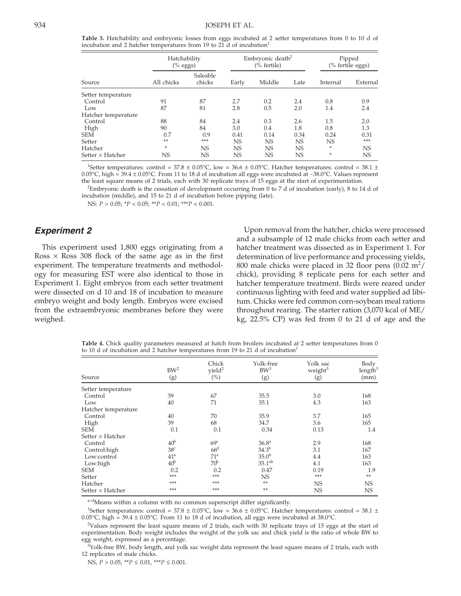**Table 3.** Hatchability and embryonic losses from eggs incubated at 2 setter temperatures from 0 to 10 d of incubation and 2 hatcher temperatures from 19 to 21 d of incubation<sup>1</sup>

|                         | Hatchability<br>$(%$ eggs) |                    | Embryonic death <sup>2</sup><br>(% fertile) |           | Pipped<br>(% fertile eggs) |          |           |
|-------------------------|----------------------------|--------------------|---------------------------------------------|-----------|----------------------------|----------|-----------|
| Source                  | All chicks                 | Saleable<br>chicks | Early                                       | Middle    | Late                       | Internal | External  |
| Setter temperature      |                            |                    |                                             |           |                            |          |           |
| Control                 | 91                         | 87                 | 2.7                                         | 0.2       | 2.4                        | 0.8      | 0.9       |
| Low                     | 87                         | 81                 | 2.8                                         | 0.5       | 2.0                        | 1.4      | 2.4       |
| Hatcher temperature     |                            |                    |                                             |           |                            |          |           |
| Control                 | 88                         | 84                 | 2.4                                         | 0.3       | 2.6                        | 1.5      | 2.0       |
| High                    | 90                         | 84                 | 3.0                                         | 0.4       | 1.8                        | 0.8      | 1.3       |
| <b>SEM</b>              | 0.7                        | 0.9                | 0.41                                        | 0.14      | 0.34                       | 0.24     | 0.31      |
| Setter                  | **                         | ***                | <b>NS</b>                                   | <b>NS</b> | NS                         | NS       | ***       |
| Hatcher                 | ×                          | <b>NS</b>          | <b>NS</b>                                   | <b>NS</b> | <b>NS</b>                  | *        | <b>NS</b> |
| Setter $\times$ Hatcher | NS                         | NS                 | NS                                          | <b>NS</b> | NS                         | *        | NS        |

<sup>1</sup>Setter temperatures: control = 37.8  $\pm$  0.05°C, low = 36.6  $\pm$  0.05°C. Hatcher temperatures: control = 38.1  $\pm$ 0.05°C, high = 39.4 ± 0.05°C. From 11 to 18 d of incubation all eggs were incubated at ∼38.0°C. Values represent the least square means of 2 trials, each with 30 replicate trays of 15 eggs at the start of experimentation.

<sup>2</sup>Embryonic death is the cessation of development occurring from 0 to 7 d of incubation (early), 8 to 14 d of incubation (middle), and 15 to 21 d of incubation before pipping (late).

NS: *P* > 0.05; \**P* < 0.05; \*\**P* < 0.01; \*\*\**P* < 0.001.

# *Experiment 2*

This experiment used 1,800 eggs originating from a Ross  $\times$  Ross 308 flock of the same age as in the first experiment. The temperature treatments and methodology for measuring EST were also identical to those in Experiment 1. Eight embryos from each setter treatment were dissected on d 10 and 18 of incubation to measure embryo weight and body length. Embryos were excised from the extraembryonic membranes before they were weighed.

Upon removal from the hatcher, chicks were processed and a subsample of 12 male chicks from each setter and hatcher treatment was dissected as in Experiment 1. For determination of live performance and processing yields, 800 male chicks were placed in 32 floor pens  $(0.02 \text{ m}^2/\text{s})$ chick), providing 8 replicate pens for each setter and hatcher temperature treatment. Birds were reared under continuous lighting with feed and water supplied ad libitum. Chicks were fed common corn-soybean meal rations throughout rearing. The starter ration (3,070 kcal of ME/ kg, 22.5% CP) was fed from 0 to 21 d of age and the

**Table 4.** Chick quality parameters measured at hatch from broilers incubated at 2 setter temperatures from 0 to 10 d of incubation and 2 hatcher temperatures from 19 to 21 d of incubation<sup>1</sup>

| Source                  | $BW^2$<br>(g)   | Chick<br>yield <sup>2</sup><br>$\binom{0}{0}$ | Yolk-free<br>$BW^3$<br>(g) | Yolk sac<br>weight <sup>3</sup><br>(g) | Body<br>length $3$<br>(mm) |
|-------------------------|-----------------|-----------------------------------------------|----------------------------|----------------------------------------|----------------------------|
| Setter temperature      |                 |                                               |                            |                                        |                            |
| Control                 | 39              | 67                                            | 35.5                       | 3.0                                    | 168                        |
| Low                     | 40              | 71                                            | 35.1                       | 4.3                                    | 163                        |
| Hatcher temperature     |                 |                                               |                            |                                        |                            |
| Control                 | 40              | 70                                            | 35.9                       | 3.7                                    | 165                        |
| High                    | 39              | 68                                            | 34.7                       | 3.6                                    | 165                        |
| <b>SEM</b>              | 0.1             | 0.1                                           | 0.34                       | 0.13                                   | 1.4                        |
| Setter $\times$ Hatcher |                 |                                               |                            |                                        |                            |
| Control                 | 40 <sup>b</sup> | 69 <sup>c</sup>                               | 36.8 <sup>a</sup>          | 2.9                                    | 168                        |
| Control:high            | 38 <sup>c</sup> | 66 <sup>d</sup>                               | $34.3^{b}$                 | 3.1                                    | 167                        |
| Low:control             | 41 <sup>a</sup> | 71 <sup>a</sup>                               | $35.0^{b}$                 | 4.4                                    | 163                        |
| Low:high                | 40 <sup>b</sup> | 70 <sup>b</sup>                               | 35.1 <sup>ab</sup>         | 4.1                                    | 163                        |
| <b>SEM</b>              | 0.2             | 0.2                                           | 0.47                       | 0.19                                   | 1.9                        |
| Setter                  | ***             | ***                                           | <b>NS</b>                  | ***                                    | **                         |
| Hatcher                 | ***             | ***                                           | **                         | <b>NS</b>                              | NS                         |
| Setter $\times$ Hatcher | ***             | ***                                           | **                         | <b>NS</b>                              | NS                         |

a<sup>-d</sup>Means within a column with no common superscript differ significantly.

<sup>1</sup>Setter temperatures: control = 37.8  $\pm$  0.05°C, low = 36.6  $\pm$  0.05°C. Hatcher temperatures: control = 38.1  $\pm$ 0.05°C, high =  $39.4 \pm 0.05$ °C. From 11 to 18 d of incubation, all eggs were incubated at 38.0°C.

2 Values represent the least square means of 2 trials, each with 30 replicate trays of 15 eggs at the start of experimentation. Body weight includes the weight of the yolk sac and chick yield is the ratio of whole BW to egg weight, expressed as a percentage.

 $3$ Yolk-free BW, body length, and yolk sac weight data represent the least square means of 2 trials, each with 12 replicates of male chicks.

NS, *P* > 0.05, \*\**P* ≤ 0.01, \*\*\**P* ≤ 0.001.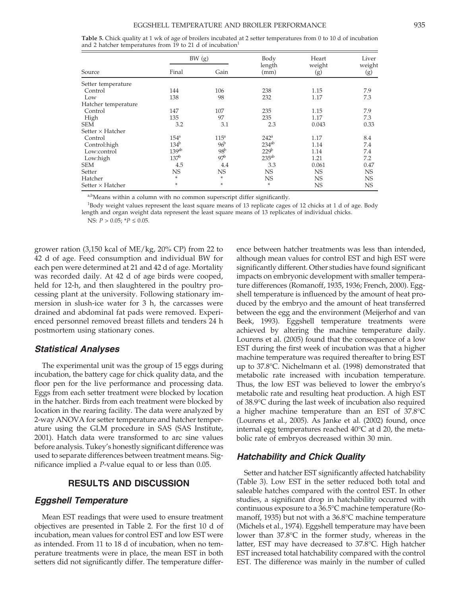#### EGGSHELL TEMPERATURE AND BROILER PERFORMANCE 935

| <b>Table 5.</b> Chick quality at 1 wk of age of broilers incubated at 2 setter temperatures from 0 to 10 d of incubation |  |  |  |
|--------------------------------------------------------------------------------------------------------------------------|--|--|--|
| and 2 hatcher temperatures from 19 to 21 d of incubation                                                                 |  |  |  |

|                         |                   | BW (g)           |                   | Heart         | Liver         |
|-------------------------|-------------------|------------------|-------------------|---------------|---------------|
| Source                  | Final             | Gain             | length<br>(mm)    | weight<br>(g) | weight<br>(g) |
| Setter temperature      |                   |                  |                   |               |               |
| Control                 | 144               | 106              | 238               | 1.15          | 7.9           |
| Low                     | 138               | 98               | 232               | 1.17          | 7.3           |
| Hatcher temperature     |                   |                  |                   |               |               |
| Control                 | 147               | 107              | 235               | 1.15          | 7.9           |
| High                    | 135               | 97               | 235               | 1.17          | 7.3           |
| <b>SEM</b>              | 3.2               | 3.1              | 2.3               | 0.043         | 0.33          |
| Setter $\times$ Hatcher |                   |                  |                   |               |               |
| Control                 | 154 <sup>a</sup>  | 115 <sup>a</sup> | 242 <sup>a</sup>  | 1.17          | 8.4           |
| Control:high            | 134 <sup>b</sup>  | 96 <sup>b</sup>  | $234^{ab}$        | 1.14          | 7.4           |
| Low:control             | 139 <sup>ab</sup> | 98 <sup>b</sup>  | 229 <sup>b</sup>  | 1.14          | 7.4           |
| Low:high                | 137 <sup>b</sup>  | 97 <sup>b</sup>  | 235 <sup>ab</sup> | 1.21          | 7.2           |
| <b>SEM</b>              | 4.5               | 4.4              | 3.3               | 0.061         | 0.47          |
| Setter                  | NS                | NS               | <b>NS</b>         | <b>NS</b>     | <b>NS</b>     |
| Hatcher                 | *                 | *                | NS                | <b>NS</b>     | <b>NS</b>     |
| Setter $\times$ Hatcher | *                 | *                | ÷                 | NS            | <b>NS</b>     |

a,bMeans within a column with no common superscript differ significantly.

<sup>1</sup>Body weight values represent the least square means of 13 replicate cages of 12 chicks at 1 d of age. Body length and organ weight data represent the least square means of 13 replicates of individual chicks.

NS: *P* > 0.05; \**P* ≤ 0.05.

grower ration (3,150 kcal of ME/kg, 20% CP) from 22 to 42 d of age. Feed consumption and individual BW for each pen were determined at 21 and 42 d of age. Mortality was recorded daily. At 42 d of age birds were cooped, held for 12-h, and then slaughtered in the poultry processing plant at the university. Following stationary immersion in slush-ice water for 3 h, the carcasses were drained and abdominal fat pads were removed. Experienced personnel removed breast fillets and tenders 24 h postmortem using stationary cones.

#### *Statistical Analyses*

The experimental unit was the group of 15 eggs during incubation, the battery cage for chick quality data, and the floor pen for the live performance and processing data. Eggs from each setter treatment were blocked by location in the hatcher. Birds from each treatment were blocked by location in the rearing facility. The data were analyzed by 2-way ANOVA for setter temperature and hatcher temperature using the GLM procedure in SAS (SAS Institute, 2001). Hatch data were transformed to arc sine values before analysis. Tukey's honestly significant difference was used to separate differences between treatment means. Significance implied a *P*-value equal to or less than 0.05.

# **RESULTS AND DISCUSSION**

#### *Eggshell Temperature*

Mean EST readings that were used to ensure treatment objectives are presented in Table 2. For the first 10 d of incubation, mean values for control EST and low EST were as intended. From 11 to 18 d of incubation, when no temperature treatments were in place, the mean EST in both setters did not significantly differ. The temperature difference between hatcher treatments was less than intended, although mean values for control EST and high EST were significantly different. Other studies have found significant impacts on embryonic development with smaller temperature differences (Romanoff, 1935, 1936; French, 2000). Eggshell temperature is influenced by the amount of heat produced by the embryo and the amount of heat transferred between the egg and the environment (Meijerhof and van Beek, 1993). Eggshell temperature treatments were achieved by altering the machine temperature daily. Lourens et al. (2005) found that the consequence of a low EST during the first week of incubation was that a higher machine temperature was required thereafter to bring EST up to 37.8°C. Nichelmann et al. (1998) demonstrated that metabolic rate increased with incubation temperature. Thus, the low EST was believed to lower the embryo's metabolic rate and resulting heat production. A high EST of 38.9°C during the last week of incubation also required a higher machine temperature than an EST of 37.8°C (Lourens et al., 2005). As Janke et al. (2002) found, once internal egg temperatures reached 40°C at d 20, the metabolic rate of embryos decreased within 30 min.

### *Hatchability and Chick Quality*

Setter and hatcher EST significantly affected hatchability (Table 3). Low EST in the setter reduced both total and saleable hatches compared with the control EST. In other studies, a significant drop in hatchability occurred with continuous exposure to a 36.5°C machine temperature (Romanoff, 1935) but not with a 36.8°C machine temperature (Michels et al., 1974). Eggshell temperature may have been lower than 37.8°C in the former study, whereas in the latter, EST may have decreased to 37.8°C. High hatcher EST increased total hatchability compared with the control EST. The difference was mainly in the number of culled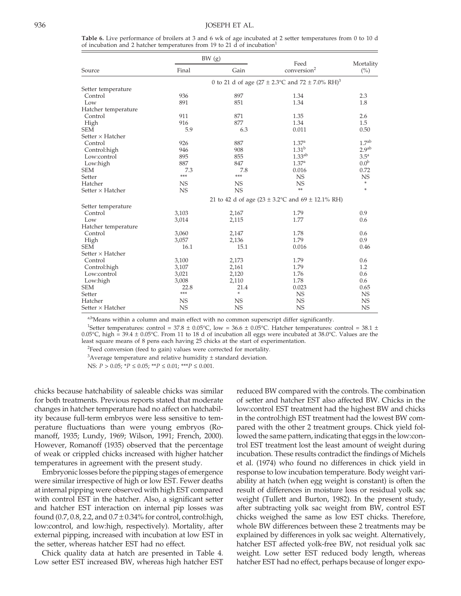**Table 6.** Live performance of broilers at 3 and 6 wk of age incubated at 2 setter temperatures from 0 to 10 d of incubation and 2 hatcher temperatures from 19 to 21  $\overline{d}$  of incubation<sup>1</sup>

|                         | BW (g)    |           | Feed                                                                    | Mortality          |
|-------------------------|-----------|-----------|-------------------------------------------------------------------------|--------------------|
| Source                  | Final     | Gain      | conversion <sup>2</sup>                                                 | (%)                |
|                         |           |           | 0 to 21 d of age (27 ± 2.3 $^{\circ}$ C and 72 ± 7.0% RH) <sup>3</sup>  |                    |
| Setter temperature      |           |           |                                                                         |                    |
| Control                 | 936       | 897       | 1.34                                                                    | 2.3                |
| Low                     | 891       | 851       | 1.34                                                                    | 1.8                |
| Hatcher temperature     |           |           |                                                                         |                    |
| Control                 | 911       | 871       | 1.35                                                                    | 2.6                |
| High                    | 916       | 877       | 1.34                                                                    | 1.5                |
| <b>SEM</b>              | 5.9       | 6.3       | 0.011                                                                   | 0.50               |
| Setter $\times$ Hatcher |           |           |                                                                         |                    |
| Control                 | 926       | 887       | 1.37 <sup>a</sup>                                                       | 1.7 <sup>ab</sup>  |
| Control: high           | 946       | 908       | $1.31^{b}$                                                              | 2.9 <sup>ab</sup>  |
| Low:control             | 895       | 855       | 1.33 <sup>ab</sup>                                                      | $3.5^{\mathrm{a}}$ |
| Low:high                | 887       | 847       | 1.37 <sup>a</sup>                                                       | 0.0 <sup>b</sup>   |
| <b>SEM</b>              | 7.3       | 7.8       | 0.016                                                                   | 0.72               |
| Setter                  | ***       | ***       | <b>NS</b>                                                               | <b>NS</b>          |
| Hatcher                 | <b>NS</b> | <b>NS</b> | <b>NS</b>                                                               | ÷                  |
| Setter $\times$ Hatcher | <b>NS</b> | <b>NS</b> | **                                                                      | ÷                  |
|                         |           |           | 21 to 42 d of age $(23 \pm 3.2^{\circ}\text{C}$ and $69 \pm 12.1\%$ RH) |                    |
| Setter temperature      |           |           |                                                                         |                    |
| Control                 | 3,103     | 2,167     | 1.79                                                                    | 0.9                |
| Low                     | 3,014     | 2,115     | 1.77                                                                    | 0.6                |
| Hatcher temperature     |           |           |                                                                         |                    |
| Control                 | 3,060     | 2,147     | 1.78                                                                    | 0.6                |
| High                    | 3,057     | 2,136     | 1.79                                                                    | 0.9                |
| <b>SEM</b>              | 16.1      | 15.1      | 0.016                                                                   | 0.46               |
| Setter $\times$ Hatcher |           |           |                                                                         |                    |
| Control                 | 3,100     | 2,173     | 1.79                                                                    | 0.6                |
| Control: high           | 3,107     | 2,161     | 1.79                                                                    | 1.2                |
| Low:control             | 3,021     | 2,120     | 1.76                                                                    | 0.6                |
| Low:high                | 3,008     | 2,110     | 1.78                                                                    | 0.6                |
| <b>SEM</b>              | 22.8      | 21.4      | 0.023                                                                   | 0.65               |
| Setter                  | ***       | ÷         | NS                                                                      | <b>NS</b>          |
| Hatcher                 | <b>NS</b> | <b>NS</b> | <b>NS</b>                                                               | <b>NS</b>          |
| Setter $\times$ Hatcher | <b>NS</b> | <b>NS</b> | <b>NS</b>                                                               | <b>NS</b>          |

a,bMeans within a column and main effect with no common superscript differ significantly.

<sup>1</sup>Setter temperatures: control = 37.8  $\pm$  0.05°C, low = 36.6  $\pm$  0.05°C. Hatcher temperatures: control = 38.1  $\pm$ 0.05°C, high = 39.4  $\pm$  0.05°C. From 11 to 18 d of incubation all eggs were incubated at 38.0°C. Values are the least square means of 8 pens each having 25 chicks at the start of experimentation.

<sup>2</sup>Feed conversion (feed to gain) values were corrected for mortality.

 $3$ Average temperature and relative humidity  $\pm$  standard deviation.

NS: *P* > 0.05; \**P* ≤ 0.05; \*\**P* ≤ 0.01; \*\*\**P* ≤ 0.001.

chicks because hatchability of saleable chicks was similar for both treatments. Previous reports stated that moderate changes in hatcher temperature had no affect on hatchability because full-term embryos were less sensitive to temperature fluctuations than were young embryos (Romanoff, 1935; Lundy, 1969; Wilson, 1991; French, 2000). However, Romanoff (1935) observed that the percentage of weak or crippled chicks increased with higher hatcher temperatures in agreement with the present study.

Embryonic losses before the pipping stages of emergence were similar irrespective of high or low EST. Fewer deaths at internal pipping were observed with high EST compared with control EST in the hatcher. Also, a significant setter and hatcher EST interaction on internal pip losses was found  $(0.7, 0.8, 2.2,$  and  $0.7 \pm 0.34\%$  for control, control:high, low:control, and low:high, respectively). Mortality, after external pipping, increased with incubation at low EST in the setter, whereas hatcher EST had no effect.

Chick quality data at hatch are presented in Table 4. Low setter EST increased BW, whereas high hatcher EST reduced BW compared with the controls. The combination of setter and hatcher EST also affected BW. Chicks in the low:control EST treatment had the highest BW and chicks in the control:high EST treatment had the lowest BW compared with the other 2 treatment groups. Chick yield followed the same pattern, indicating that eggs in the low:control EST treatment lost the least amount of weight during incubation. These results contradict the findings of Michels et al. (1974) who found no differences in chick yield in response to low incubation temperature. Body weight variability at hatch (when egg weight is constant) is often the result of differences in moisture loss or residual yolk sac weight (Tullett and Burton, 1982). In the present study, after subtracting yolk sac weight from BW, control EST chicks weighed the same as low EST chicks. Therefore, whole BW differences between these 2 treatments may be explained by differences in yolk sac weight. Alternatively, hatcher EST affected yolk-free BW, not residual yolk sac weight. Low setter EST reduced body length, whereas hatcher EST had no effect, perhaps because of longer expo-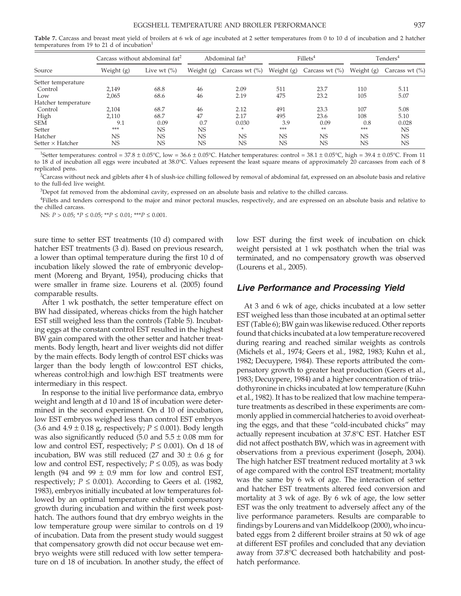**Table 7.** Carcass and breast meat yield of broilers at 6 wk of age incubated at 2 setter temperatures from 0 to 10 d of incubation and 2 hatcher temperatures from 19 to 21 d of incubation $<sup>1</sup>$ </sup>

|                         | Carcass without abdominal $fat^2$ |                | Abdominal fat <sup>3</sup> |                    | Fillets <sup>4</sup> |                    | Tenders $^4$ |                    |
|-------------------------|-----------------------------------|----------------|----------------------------|--------------------|----------------------|--------------------|--------------|--------------------|
| Source                  | Weight (g)                        | Live wt $(\%)$ | Weight (g)                 | Carcass wt $(\% )$ | Weight (g)           | Carcass wt $(\% )$ | Weight (g)   | Carcass wt $(\% )$ |
| Setter temperature      |                                   |                |                            |                    |                      |                    |              |                    |
| Control                 | 2,149                             | 68.8           | 46                         | 2.09               | 511                  | 23.7               | 110          | 5.11               |
| Low                     | 2,065                             | 68.6           | 46                         | 2.19               | 475                  | 23.2               | 105          | 5.07               |
| Hatcher temperature     |                                   |                |                            |                    |                      |                    |              |                    |
| Control                 | 2.104                             | 68.7           | 46                         | 2.12               | 491                  | 23.3               | 107          | 5.08               |
| High                    | 2.110                             | 68.7           | 47                         | 2.17               | 495                  | 23.6               | 108          | 5.10               |
| <b>SEM</b>              | 9.1                               | 0.09           | 0.7                        | 0.030              | 3.9                  | 0.09               | 0.8          | 0.028              |
| Setter                  | ***                               | NS.            | NS.                        | *                  | ***                  | **                 | ***          | <b>NS</b>          |
| Hatcher                 | NS                                | <b>NS</b>      | <b>NS</b>                  | NS                 | NS                   | <b>NS</b>          | <b>NS</b>    | <b>NS</b>          |
| Setter $\times$ Hatcher | NS                                | <b>NS</b>      | NS                         | NS.                | <b>NS</b>            | <b>NS</b>          | <b>NS</b>    | <b>NS</b>          |

<sup>1</sup>Setter temperatures: control = 37.8 ± 0.05°C, low = 36.6 ± 0.05°C. Hatcher temperatures: control = 38.1 ± 0.05°C, high = 39.4 ± 0.05°C. From 11 to 18 d of incubation all eggs were incubated at 38.0°C. Values represent the least square means of approximately 20 carcasses from each of 8 replicated pens.

 ${}^{2}$ Carcass without neck and giblets after 4 h of slush-ice chilling followed by removal of abdominal fat, expressed on an absolute basis and relative to the full-fed live weight.

3 Depot fat removed from the abdominal cavity, expressed on an absolute basis and relative to the chilled carcass.

4 Fillets and tenders correspond to the major and minor pectoral muscles, respectively, and are expressed on an absolute basis and relative to the chilled carcass.

NS: *P* > 0.05; \**P* ≤ 0.05; \*\**P* ≤ 0.01; \*\*\**P* ≤ 0.001.

sure time to setter EST treatments (10 d) compared with hatcher EST treatments (3 d). Based on previous research, a lower than optimal temperature during the first 10 d of incubation likely slowed the rate of embryonic development (Moreng and Bryant, 1954), producing chicks that were smaller in frame size. Lourens et al. (2005) found comparable results.

After 1 wk posthatch, the setter temperature effect on BW had dissipated, whereas chicks from the high hatcher EST still weighed less than the controls (Table 5). Incubating eggs at the constant control EST resulted in the highest BW gain compared with the other setter and hatcher treatments. Body length, heart and liver weights did not differ by the main effects. Body length of control EST chicks was larger than the body length of low:control EST chicks, whereas control:high and low:high EST treatments were intermediary in this respect.

In response to the initial live performance data, embryo weight and length at d 10 and 18 of incubation were determined in the second experiment. On d 10 of incubation, low EST embryos weighed less than control EST embryos (3.6 and  $4.9 \pm 0.18$  g, respectively;  $P \le 0.001$ ). Body length was also significantly reduced  $(5.0 \text{ and } 5.5 \pm 0.08 \text{ mm}$  for low and control EST, respectively;  $P \leq 0.001$ ). On d 18 of incubation, BW was still reduced (27 and 30  $\pm$  0.6 g for low and control EST, respectively;  $P \leq 0.05$ ), as was body length (94 and 99  $\pm$  0.9 mm for low and control EST, respectively;  $P \leq 0.001$ ). According to Geers et al. (1982, 1983), embryos initially incubated at low temperatures followed by an optimal temperature exhibit compensatory growth during incubation and within the first week posthatch. The authors found that dry embryo weights in the low temperature group were similar to controls on d 19 of incubation. Data from the present study would suggest that compensatory growth did not occur because wet embryo weights were still reduced with low setter temperature on d 18 of incubation. In another study, the effect of low EST during the first week of incubation on chick weight persisted at 1 wk posthatch when the trial was terminated, and no compensatory growth was observed (Lourens et al., 2005).

#### *Live Performance and Processing Yield*

At 3 and 6 wk of age, chicks incubated at a low setter EST weighed less than those incubated at an optimal setter EST (Table 6); BW gain was likewise reduced. Other reports found that chicks incubated at a low temperature recovered during rearing and reached similar weights as controls (Michels et al., 1974; Geers et al., 1982, 1983; Kuhn et al., 1982; Decuypere, 1984). These reports attributed the compensatory growth to greater heat production (Geers et al., 1983; Decuypere, 1984) and a higher concentration of triiodothyronine in chicks incubated at low temperature (Kuhn et al., 1982). It has to be realized that low machine temperature treatments as described in these experiments are commonly applied in commercial hatcheries to avoid overheating the eggs, and that these "cold-incubated chicks" may actually represent incubation at 37.8°C EST. Hatcher EST did not affect posthatch BW, which was in agreement with observations from a previous experiment (Joseph, 2004). The high hatcher EST treatment reduced mortality at 3 wk of age compared with the control EST treatment; mortality was the same by 6 wk of age. The interaction of setter and hatcher EST treatments altered feed conversion and mortality at 3 wk of age. By 6 wk of age, the low setter EST was the only treatment to adversely affect any of the live performance parameters. Results are comparable to findings by Lourens and van Middelkoop (2000), who incubated eggs from 2 different broiler strains at 50 wk of age at different EST profiles and concluded that any deviation away from 37.8°C decreased both hatchability and posthatch performance.